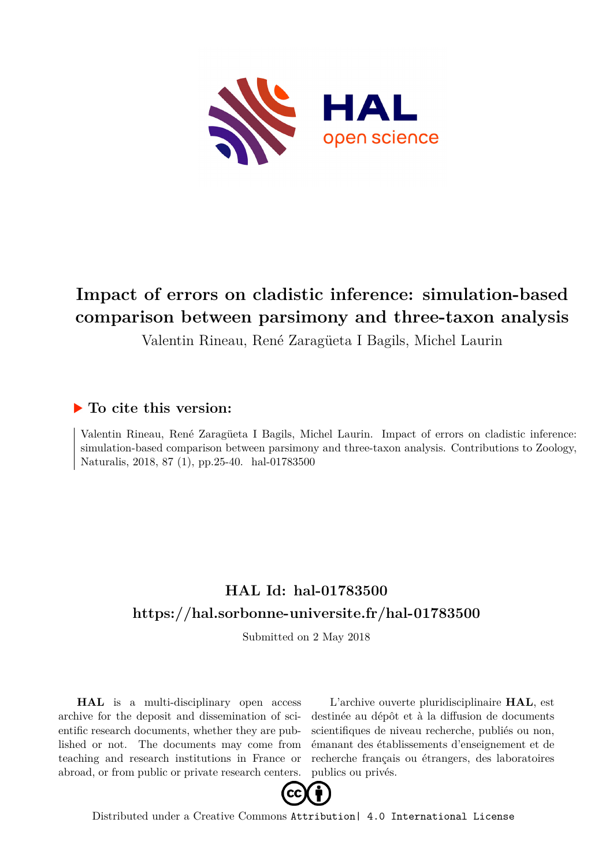

# **Impact of errors on cladistic inference: simulation-based comparison between parsimony and three-taxon analysis**

Valentin Rineau, René Zaragüeta I Bagils, Michel Laurin

### **To cite this version:**

Valentin Rineau, René Zaragüeta I Bagils, Michel Laurin. Impact of errors on cladistic inference: simulation-based comparison between parsimony and three-taxon analysis. Contributions to Zoology, Naturalis, 2018, 87 (1), pp.25-40. hal-01783500

## **HAL Id: hal-01783500 <https://hal.sorbonne-universite.fr/hal-01783500>**

Submitted on 2 May 2018

**HAL** is a multi-disciplinary open access archive for the deposit and dissemination of scientific research documents, whether they are published or not. The documents may come from teaching and research institutions in France or abroad, or from public or private research centers.

L'archive ouverte pluridisciplinaire **HAL**, est destinée au dépôt et à la diffusion de documents scientifiques de niveau recherche, publiés ou non, émanant des établissements d'enseignement et de recherche français ou étrangers, des laboratoires publics ou privés.



Distributed under a Creative Commons [Attribution| 4.0 International License](http://creativecommons.org/licenses/by/4.0/)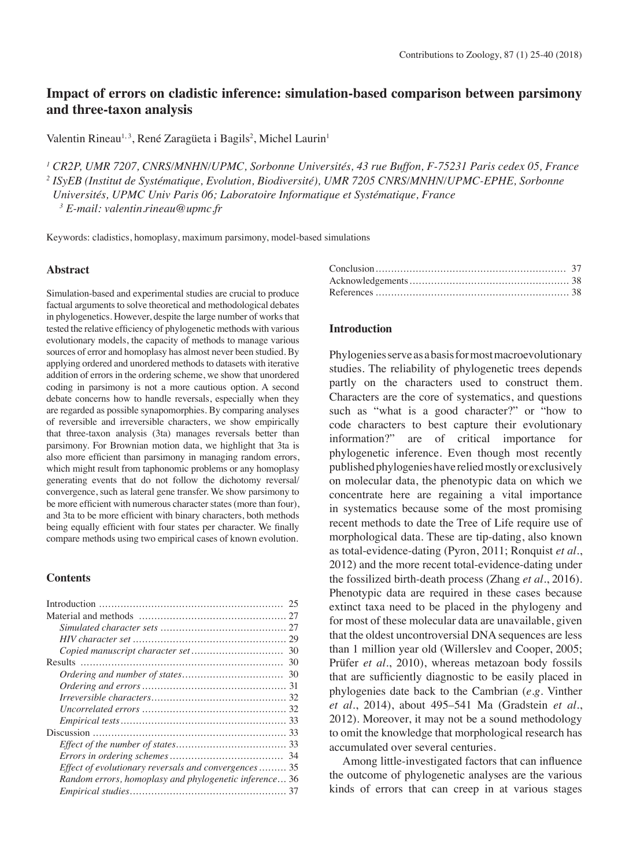### **Impact of errors on cladistic inference: simulation-based comparison between parsimony and three-taxon analysis**

Valentin Rineau<sup>1,3</sup>, René Zaragüeta i Bagils<sup>2</sup>, Michel Laurin<sup>1</sup>

*<sup>1</sup> CR2P, UMR 7207, CNRS/MNHN/UPMC, Sorbonne Universités, 43 rue Buffon, F-75231 Paris cedex 05, France <sup>2</sup> ISyEB (Institut de Systématique, Evolution, Biodiversité), UMR 7205 CNRS/MNHN/UPMC-EPHE, Sorbonne Universités, UPMC Univ Paris 06; Laboratoire Informatique et Systématique, France*

*3 E-mail: valentin.rineau@upmc.fr*

Keywords: cladistics, homoplasy, maximum parsimony, model-based simulations

#### **Abstract**

Simulation-based and experimental studies are crucial to produce factual arguments to solve theoretical and methodological debates in phylogenetics. However, despite the large number of works that tested the relative efficiency of phylogenetic methods with various evolutionary models, the capacity of methods to manage various sources of error and homoplasy has almost never been studied. By applying ordered and unordered methods to datasets with iterative addition of errors in the ordering scheme, we show that unordered coding in parsimony is not a more cautious option. A second debate concerns how to handle reversals, especially when they are regarded as possible synapomorphies. By comparing analyses of reversible and irreversible characters, we show empirically that three-taxon analysis (3ta) manages reversals better than parsimony. For Brownian motion data, we highlight that 3ta is also more efficient than parsimony in managing random errors, which might result from taphonomic problems or any homoplasy generating events that do not follow the dichotomy reversal/ convergence, such as lateral gene transfer. We show parsimony to be more efficient with numerous character states (more than four), and 3ta to be more efficient with binary characters, both methods being equally efficient with four states per character. We finally compare methods using two empirical cases of known evolution.

#### **Contents**

#### **Introduction**

Phylogenies serve as a basis for most macroevolutionary studies. The reliability of phylogenetic trees depends partly on the characters used to construct them. Characters are the core of systematics, and questions such as "what is a good character?" or "how to code characters to best capture their evolutionary information?" are of critical importance for phylogenetic inference. Even though most recently published phylogenies have relied mostly or exclusively on molecular data, the phenotypic data on which we concentrate here are regaining a vital importance in systematics because some of the most promising recent methods to date the Tree of Life require use of morphological data. These are tip-dating, also known as total-evidence-dating (Pyron, 2011; Ronquist *et al.*, 2012) and the more recent total-evidence-dating under the fossilized birth-death process (Zhang *et al.*, 2016). Phenotypic data are required in these cases because extinct taxa need to be placed in the phylogeny and for most of these molecular data are unavailable, given that the oldest uncontroversial DNA sequences are less than 1 million year old (Willerslev and Cooper, 2005; Prüfer *et al.*, 2010), whereas metazoan body fossils that are sufficiently diagnostic to be easily placed in phylogenies date back to the Cambrian (*e.g.* Vinther *et al.*, 2014), about 495–541 Ma (Gradstein *et al.*, 2012). Moreover, it may not be a sound methodology to omit the knowledge that morphological research has accumulated over several centuries.

Among little-investigated factors that can influence the outcome of phylogenetic analyses are the various kinds of errors that can creep in at various stages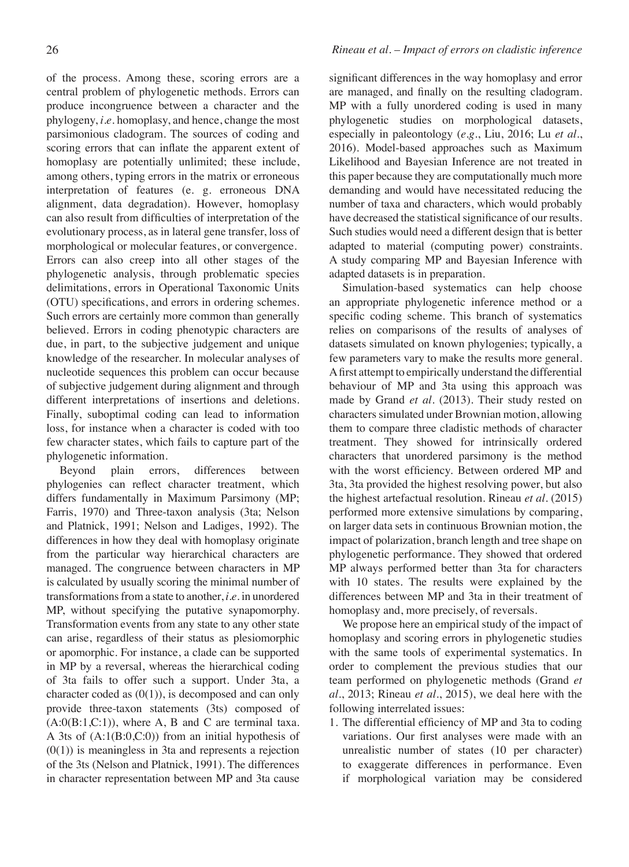of the process. Among these, scoring errors are a central problem of phylogenetic methods. Errors can produce incongruence between a character and the phylogeny, *i.e.* homoplasy, and hence, change the most parsimonious cladogram. The sources of coding and scoring errors that can inflate the apparent extent of homoplasy are potentially unlimited; these include, among others, typing errors in the matrix or erroneous interpretation of features (e. g. erroneous DNA alignment, data degradation). However, homoplasy can also result from difficulties of interpretation of the evolutionary process, as in lateral gene transfer, loss of morphological or molecular features, or convergence. Errors can also creep into all other stages of the phylogenetic analysis, through problematic species delimitations, errors in Operational Taxonomic Units (OTU) specifications, and errors in ordering schemes. Such errors are certainly more common than generally believed. Errors in coding phenotypic characters are due, in part, to the subjective judgement and unique knowledge of the researcher. In molecular analyses of nucleotide sequences this problem can occur because of subjective judgement during alignment and through different interpretations of insertions and deletions. Finally, suboptimal coding can lead to information loss, for instance when a character is coded with too few character states, which fails to capture part of the phylogenetic information.

Beyond plain errors, differences between phylogenies can reflect character treatment, which differs fundamentally in Maximum Parsimony (MP; Farris, 1970) and Three-taxon analysis (3ta; Nelson and Platnick, 1991; Nelson and Ladiges, 1992). The differences in how they deal with homoplasy originate from the particular way hierarchical characters are managed. The congruence between characters in MP is calculated by usually scoring the minimal number of transformations from a state to another, *i.e.* in unordered MP, without specifying the putative synapomorphy. Transformation events from any state to any other state can arise, regardless of their status as plesiomorphic or apomorphic. For instance, a clade can be supported in MP by a reversal, whereas the hierarchical coding of 3ta fails to offer such a support. Under 3ta, a character coded as  $(0(1))$ , is decomposed and can only provide three-taxon statements (3ts) composed of  $(A:0(B:1,C:1))$ , where A, B and C are terminal taxa. A 3ts of (A:1(B:0,C:0)) from an initial hypothesis of  $(0(1))$  is meaningless in 3ta and represents a rejection of the 3ts (Nelson and Platnick, 1991). The differences in character representation between MP and 3ta cause significant differences in the way homoplasy and error are managed, and finally on the resulting cladogram. MP with a fully unordered coding is used in many phylogenetic studies on morphological datasets, especially in paleontology (*e.g.*, Liu, 2016; Lu *et al.*, 2016). Model-based approaches such as Maximum Likelihood and Bayesian Inference are not treated in this paper because they are computationally much more demanding and would have necessitated reducing the number of taxa and characters, which would probably have decreased the statistical significance of our results. Such studies would need a different design that is better adapted to material (computing power) constraints. A study comparing MP and Bayesian Inference with adapted datasets is in preparation.

Simulation-based systematics can help choose an appropriate phylogenetic inference method or a specific coding scheme. This branch of systematics relies on comparisons of the results of analyses of datasets simulated on known phylogenies; typically, a few parameters vary to make the results more general. A first attempt to empirically understand the differential behaviour of MP and 3ta using this approach was made by Grand *et al.* (2013). Their study rested on characters simulated under Brownian motion, allowing them to compare three cladistic methods of character treatment. They showed for intrinsically ordered characters that unordered parsimony is the method with the worst efficiency. Between ordered MP and 3ta, 3ta provided the highest resolving power, but also the highest artefactual resolution. Rineau *et al.* (2015) performed more extensive simulations by comparing, on larger data sets in continuous Brownian motion, the impact of polarization, branch length and tree shape on phylogenetic performance. They showed that ordered MP always performed better than 3ta for characters with 10 states. The results were explained by the differences between MP and 3ta in their treatment of homoplasy and, more precisely, of reversals.

We propose here an empirical study of the impact of homoplasy and scoring errors in phylogenetic studies with the same tools of experimental systematics. In order to complement the previous studies that our team performed on phylogenetic methods (Grand *et al.*, 2013; Rineau *et al.*, 2015), we deal here with the following interrelated issues:

1. The differential efficiency of MP and 3ta to coding variations. Our first analyses were made with an unrealistic number of states (10 per character) to exaggerate differences in performance. Even if morphological variation may be considered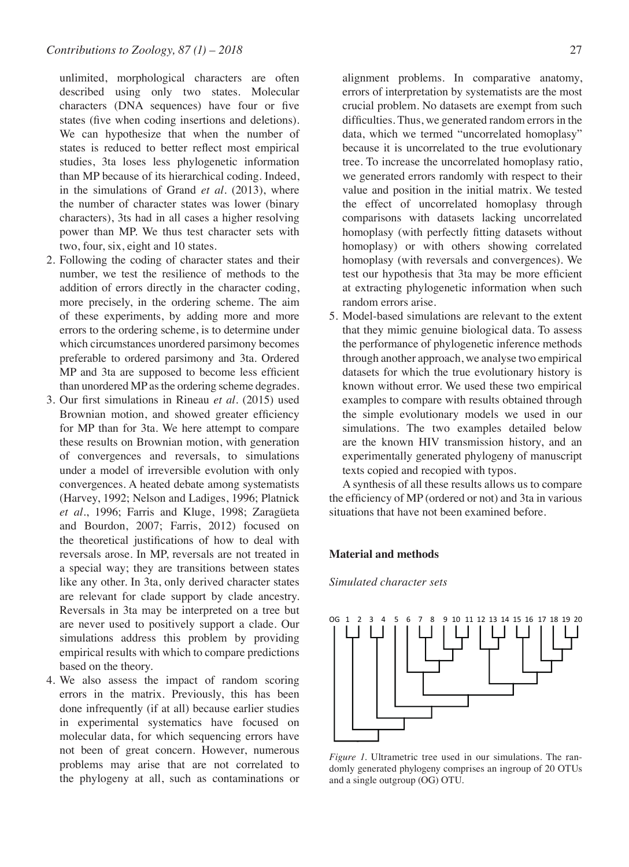unlimited, morphological characters are often described using only two states. Molecular characters (DNA sequences) have four or five states (five when coding insertions and deletions). We can hypothesize that when the number of states is reduced to better reflect most empirical studies, 3ta loses less phylogenetic information than MP because of its hierarchical coding. Indeed, in the simulations of Grand *et al.* (2013), where the number of character states was lower (binary characters), 3ts had in all cases a higher resolving power than MP. We thus test character sets with two, four, six, eight and 10 states.

- 2. Following the coding of character states and their number, we test the resilience of methods to the addition of errors directly in the character coding, more precisely, in the ordering scheme. The aim of these experiments, by adding more and more errors to the ordering scheme, is to determine under which circumstances unordered parsimony becomes preferable to ordered parsimony and 3ta. Ordered MP and 3ta are supposed to become less efficient than unordered MP as the ordering scheme degrades.
- 3. Our first simulations in Rineau *et al.* (2015) used Brownian motion, and showed greater efficiency for MP than for 3ta. We here attempt to compare these results on Brownian motion, with generation of convergences and reversals, to simulations under a model of irreversible evolution with only convergences. A heated debate among systematists (Harvey, 1992; Nelson and Ladiges, 1996; Platnick *et al.*, 1996; Farris and Kluge, 1998; Zaragüeta and Bourdon, 2007; Farris, 2012) focused on the theoretical justifications of how to deal with reversals arose. In MP, reversals are not treated in a special way; they are transitions between states like any other. In 3ta, only derived character states are relevant for clade support by clade ancestry. Reversals in 3ta may be interpreted on a tree but are never used to positively support a clade. Our simulations address this problem by providing empirical results with which to compare predictions based on the theory.
- 4. We also assess the impact of random scoring errors in the matrix. Previously, this has been done infrequently (if at all) because earlier studies in experimental systematics have focused on molecular data, for which sequencing errors have not been of great concern. However, numerous problems may arise that are not correlated to the phylogeny at all, such as contaminations or

alignment problems. In comparative anatomy, errors of interpretation by systematists are the most crucial problem. No datasets are exempt from such difficulties. Thus, we generated random errors in the data, which we termed "uncorrelated homoplasy" because it is uncorrelated to the true evolutionary tree. To increase the uncorrelated homoplasy ratio, we generated errors randomly with respect to their value and position in the initial matrix. We tested the effect of uncorrelated homoplasy through comparisons with datasets lacking uncorrelated homoplasy (with perfectly fitting datasets without homoplasy) or with others showing correlated homoplasy (with reversals and convergences). We test our hypothesis that 3ta may be more efficient at extracting phylogenetic information when such random errors arise.

5. Model-based simulations are relevant to the extent that they mimic genuine biological data. To assess the performance of phylogenetic inference methods through another approach, we analyse two empirical datasets for which the true evolutionary history is known without error. We used these two empirical examples to compare with results obtained through the simple evolutionary models we used in our simulations. The two examples detailed below are the known HIV transmission history, and an experimentally generated phylogeny of manuscript texts copied and recopied with typos.

A synthesis of all these results allows us to compare the efficiency of MP (ordered or not) and 3ta in various situations that have not been examined before.

#### **Material and methods**

*Simulated character sets*



*Figure 1.* Ultrametric tree used in our simulations. The randomly generated phylogeny comprises an ingroup of 20 OTUs and a single outgroup (OG) OTU.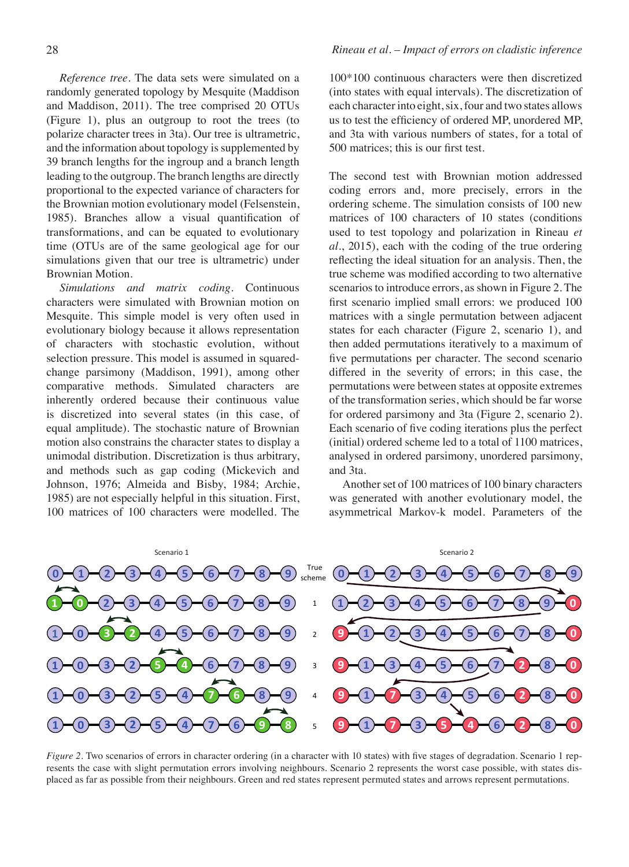*Reference tree.* The data sets were simulated on a randomly generated topology by Mesquite (Maddison and Maddison, 2011). The tree comprised 20 OTUs (Figure 1), plus an outgroup to root the trees (to polarize character trees in 3ta). Our tree is ultrametric, and the information about topology is supplemented by 39 branch lengths for the ingroup and a branch length leading to the outgroup. The branch lengths are directly proportional to the expected variance of characters for the Brownian motion evolutionary model (Felsenstein, 1985). Branches allow a visual quantification of transformations, and can be equated to evolutionary time (OTUs are of the same geological age for our simulations given that our tree is ultrametric) under Brownian Motion.

*Simulations and matrix coding.* Continuous characters were simulated with Brownian motion on Mesquite. This simple model is very often used in evolutionary biology because it allows representation of characters with stochastic evolution, without selection pressure. This model is assumed in squaredchange parsimony (Maddison, 1991), among other comparative methods. Simulated characters are inherently ordered because their continuous value is discretized into several states (in this case, of equal amplitude). The stochastic nature of Brownian motion also constrains the character states to display a unimodal distribution. Discretization is thus arbitrary, and methods such as gap coding (Mickevich and Johnson, 1976; Almeida and Bisby, 1984; Archie, 1985) are not especially helpful in this situation. First, 100 matrices of 100 characters were modelled. The

#### 28 *Rineau et al. – Impact of errors on cladistic inference*

100\*100 continuous characters were then discretized (into states with equal intervals). The discretization of each character into eight, six, four and two states allows us to test the efficiency of ordered MP, unordered MP, and 3ta with various numbers of states, for a total of 500 matrices; this is our first test.

The second test with Brownian motion addressed coding errors and, more precisely, errors in the ordering scheme. The simulation consists of 100 new matrices of 100 characters of 10 states (conditions used to test topology and polarization in Rineau *et al.*, 2015), each with the coding of the true ordering reflecting the ideal situation for an analysis. Then, the true scheme was modified according to two alternative scenarios to introduce errors, as shown in Figure 2. The first scenario implied small errors: we produced 100 matrices with a single permutation between adjacent states for each character (Figure 2, scenario 1), and then added permutations iteratively to a maximum of five permutations per character. The second scenario differed in the severity of errors; in this case, the permutations were between states at opposite extremes of the transformation series, which should be far worse for ordered parsimony and 3ta (Figure 2, scenario 2). Each scenario of five coding iterations plus the perfect (initial) ordered scheme led to a total of 1100 matrices, analysed in ordered parsimony, unordered parsimony, and 3ta.

Another set of 100 matrices of 100 binary characters was generated with another evolutionary model, the asymmetrical Markov-k model. Parameters of the



*Figure 2*. Two scenarios of errors in character ordering (in a character with 10 states) with five stages of degradation. Scenario 1 represents the case with slight permutation errors involving neighbours. Scenario 2 represents the worst case possible, with states displaced as far as possible from their neighbours. Green and red states represent permuted states and arrows represent permutations.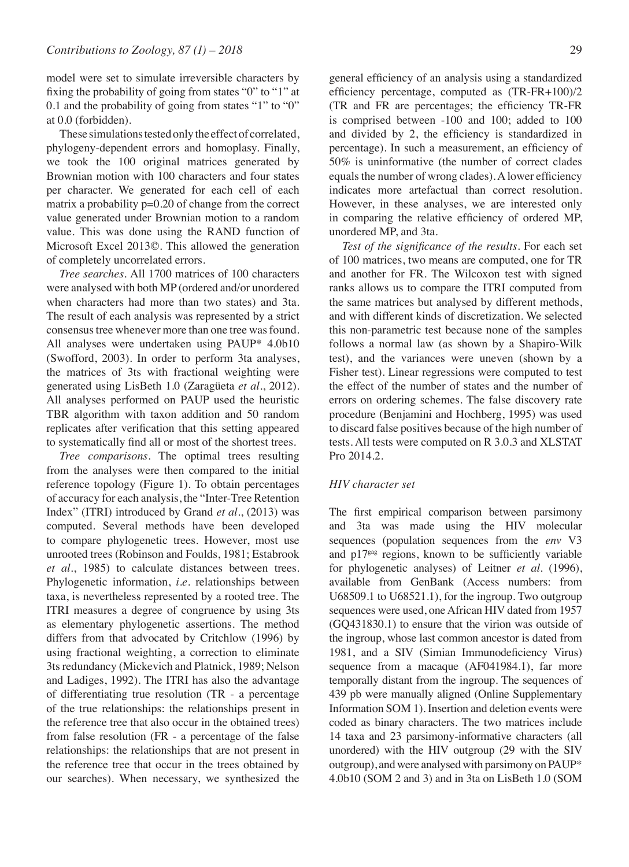model were set to simulate irreversible characters by fixing the probability of going from states "0" to "1" at 0.1 and the probability of going from states "1" to "0" at 0.0 (forbidden).

These simulations tested only the effect of correlated, phylogeny-dependent errors and homoplasy. Finally, we took the 100 original matrices generated by Brownian motion with 100 characters and four states per character. We generated for each cell of each matrix a probability p=0.20 of change from the correct value generated under Brownian motion to a random value. This was done using the RAND function of Microsoft Excel 2013©. This allowed the generation of completely uncorrelated errors.

*Tree searches.* All 1700 matrices of 100 characters were analysed with both MP (ordered and/or unordered when characters had more than two states) and 3ta. The result of each analysis was represented by a strict consensus tree whenever more than one tree was found. All analyses were undertaken using PAUP\* 4.0b10 (Swofford, 2003). In order to perform 3ta analyses, the matrices of 3ts with fractional weighting were generated using LisBeth 1.0 (Zaragüeta *et al.*, 2012). All analyses performed on PAUP used the heuristic TBR algorithm with taxon addition and 50 random replicates after verification that this setting appeared to systematically find all or most of the shortest trees.

*Tree comparisons.* The optimal trees resulting from the analyses were then compared to the initial reference topology (Figure 1). To obtain percentages of accuracy for each analysis, the "Inter-Tree Retention Index" (ITRI) introduced by Grand *et al.*, (2013) was computed. Several methods have been developed to compare phylogenetic trees. However, most use unrooted trees (Robinson and Foulds, 1981; Estabrook *et al.*, 1985) to calculate distances between trees. Phylogenetic information, *i.e.* relationships between taxa, is nevertheless represented by a rooted tree. The ITRI measures a degree of congruence by using 3ts as elementary phylogenetic assertions. The method differs from that advocated by Critchlow (1996) by using fractional weighting, a correction to eliminate 3ts redundancy (Mickevich and Platnick, 1989; Nelson and Ladiges, 1992). The ITRI has also the advantage of differentiating true resolution (TR - a percentage of the true relationships: the relationships present in the reference tree that also occur in the obtained trees) from false resolution (FR - a percentage of the false relationships: the relationships that are not present in the reference tree that occur in the trees obtained by our searches). When necessary, we synthesized the

general efficiency of an analysis using a standardized efficiency percentage, computed as (TR-FR+100)/2 (TR and FR are percentages; the efficiency TR-FR is comprised between -100 and 100; added to 100 and divided by 2, the efficiency is standardized in percentage). In such a measurement, an efficiency of 50% is uninformative (the number of correct clades equals the number of wrong clades). A lower efficiency indicates more artefactual than correct resolution. However, in these analyses, we are interested only in comparing the relative efficiency of ordered MP, unordered MP, and 3ta.

 *Test of the significance of the results.* For each set of 100 matrices, two means are computed, one for TR and another for FR. The Wilcoxon test with signed ranks allows us to compare the ITRI computed from the same matrices but analysed by different methods, and with different kinds of discretization. We selected this non-parametric test because none of the samples follows a normal law (as shown by a Shapiro-Wilk test), and the variances were uneven (shown by a Fisher test). Linear regressions were computed to test the effect of the number of states and the number of errors on ordering schemes. The false discovery rate procedure (Benjamini and Hochberg, 1995) was used to discard false positives because of the high number of tests. All tests were computed on R 3.0.3 and XLSTAT Pro 2014.2.

#### *HIV character set*

The first empirical comparison between parsimony and 3ta was made using the HIV molecular sequences (population sequences from the *env* V3 and p17gag regions, known to be sufficiently variable for phylogenetic analyses) of Leitner *et al.* (1996), available from GenBank (Access numbers: from U68509.1 to U68521.1), for the ingroup. Two outgroup sequences were used, one African HIV dated from 1957 (GQ431830.1) to ensure that the virion was outside of the ingroup, whose last common ancestor is dated from 1981, and a SIV (Simian Immunodeficiency Virus) sequence from a macaque (AF041984.1), far more temporally distant from the ingroup. The sequences of 439 pb were manually aligned (Online Supplementary Information SOM 1). Insertion and deletion events were coded as binary characters. The two matrices include 14 taxa and 23 parsimony-informative characters (all unordered) with the HIV outgroup (29 with the SIV outgroup), and were analysed with parsimony on PAUP\* 4.0b10 (SOM 2 and 3) and in 3ta on LisBeth 1.0 (SOM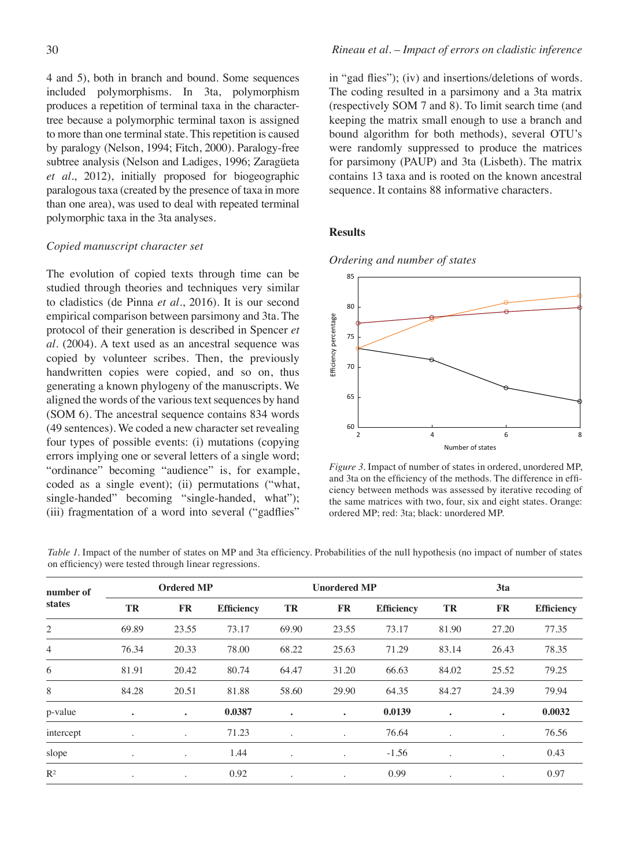4 and 5), both in branch and bound. Some sequences included polymorphisms. In 3ta, polymorphism produces a repetition of terminal taxa in the charactertree because a polymorphic terminal taxon is assigned to more than one terminal state. This repetition is caused by paralogy (Nelson, 1994; Fitch, 2000). Paralogy-free subtree analysis (Nelson and Ladiges, 1996; Zaragüeta *et al.*, 2012), initially proposed for biogeographic paralogous taxa (created by the presence of taxa in more than one area), was used to deal with repeated terminal polymorphic taxa in the 3ta analyses.

#### *Copied manuscript character set*

The evolution of copied texts through time can be studied through theories and techniques very similar to cladistics (de Pinna *et al.*, 2016). It is our second empirical comparison between parsimony and 3ta. The protocol of their generation is described in Spencer *et al.* (2004). A text used as an ancestral sequence was copied by volunteer scribes. Then, the previously handwritten copies were copied, and so on, thus generating a known phylogeny of the manuscripts. We aligned the words of the various text sequences by hand (SOM 6). The ancestral sequence contains 834 words (49 sentences). We coded a new character set revealing four types of possible events: (i) mutations (copying errors implying one or several letters of a single word; "ordinance" becoming "audience" is, for example, coded as a single event); (ii) permutations ("what, single-handed" becoming "single-handed, what"); (iii) fragmentation of a word into several ("gadflies"

in "gad flies"); (iv) and insertions/deletions of words. The coding resulted in a parsimony and a 3ta matrix (respectively SOM 7 and 8). To limit search time (and keeping the matrix small enough to use a branch and bound algorithm for both methods), several OTU's were randomly suppressed to produce the matrices for parsimony (PAUP) and 3ta (Lisbeth). The matrix contains 13 taxa and is rooted on the known ancestral sequence. It contains 88 informative characters.

#### **Results**

*Ordering and number of states*



*Figure 3.* Impact of number of states in ordered, unordered MP, and 3ta on the efficiency of the methods. The difference in efficiency between methods was assessed by iterative recoding of the same matrices with two, four, six and eight states. Orange: ordered MP; red: 3ta; black: unordered MP.

| number of<br>states | <b>Ordered MP</b>    |           |                   | <b>Unordered MP</b> |                      |                   | 3ta                  |           |                   |
|---------------------|----------------------|-----------|-------------------|---------------------|----------------------|-------------------|----------------------|-----------|-------------------|
|                     | TR                   | <b>FR</b> | <b>Efficiency</b> | TR                  | <b>FR</b>            | <b>Efficiency</b> | TR                   | <b>FR</b> | <b>Efficiency</b> |
| 2                   | 69.89                | 23.55     | 73.17             | 69.90               | 23.55                | 73.17             | 81.90                | 27.20     | 77.35             |
| $\overline{4}$      | 76.34                | 20.33     | 78.00             | 68.22               | 25.63                | 71.29             | 83.14                | 26.43     | 78.35             |
| 6                   | 81.91                | 20.42     | 80.74             | 64.47               | 31.20                | 66.63             | 84.02                | 25.52     | 79.25             |
| 8                   | 84.28                | 20.51     | 81.88             | 58.60               | 29.90                | 64.35             | 84.27                | 24.39     | 79.94             |
| p-value             | $\bullet$            | ٠         | 0.0387            | ٠                   | ٠                    | 0.0139            | ٠                    | $\bullet$ | 0.0032            |
| intercept           | $\bullet$            |           | 71.23             | $\cdot$             |                      | 76.64             | $\ddot{\phantom{0}}$ | $\bullet$ | 76.56             |
| slope               | $\bullet$            | $\bullet$ | 1.44              | ٠                   | $\ddot{\phantom{0}}$ | $-1.56$           | $\cdot$              | $\bullet$ | 0.43              |
| $R^2$               | $\ddot{\phantom{0}}$ | $\bullet$ | 0.92              | $\cdot$             | $\bullet$            | 0.99              | $\ddot{\phantom{0}}$ | $\bullet$ | 0.97              |

*Table 1*. Impact of the number of states on MP and 3ta efficiency. Probabilities of the null hypothesis (no impact of number of states on efficiency) were tested through linear regressions.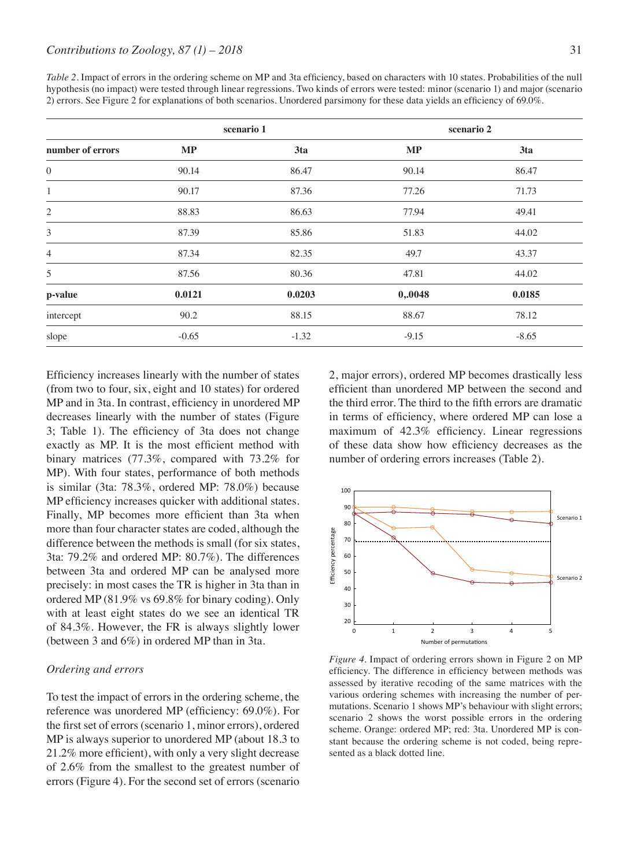*Table 2.* Impact of errors in the ordering scheme on MP and 3ta efficiency, based on characters with 10 states. Probabilities of the null hypothesis (no impact) were tested through linear regressions. Two kinds of errors were tested: minor (scenario 1) and major (scenario 2) errors. See Figure 2 for explanations of both scenarios. Unordered parsimony for these data yields an efficiency of 69.0%.

|                  |          | scenario 1 | scenario 2 |         |  |
|------------------|----------|------------|------------|---------|--|
| number of errors | $\bf MP$ | 3ta        | <b>MP</b>  | 3ta     |  |
| $\mathbf{0}$     | 90.14    | 86.47      | 90.14      | 86.47   |  |
| $\mathbf{1}$     | 90.17    | 87.36      | 77.26      | 71.73   |  |
| $\mathfrak{2}$   | 88.83    | 86.63      | 77.94      | 49.41   |  |
| 3                | 87.39    | 85.86      | 51.83      | 44.02   |  |
| 4                | 87.34    | 82.35      | 49.7       | 43.37   |  |
| 5                | 87.56    | 80.36      | 47.81      | 44.02   |  |
| p-value          | 0.0121   | 0.0203     | 0,.0048    | 0.0185  |  |
| intercept        | 90.2     | 88.15      | 88.67      | 78.12   |  |
| slope            | $-0.65$  | $-1.32$    | $-9.15$    | $-8.65$ |  |

Efficiency increases linearly with the number of states (from two to four, six, eight and 10 states) for ordered MP and in 3ta. In contrast, efficiency in unordered MP decreases linearly with the number of states (Figure 3; Table 1). The efficiency of 3ta does not change exactly as MP. It is the most efficient method with binary matrices (77.3%, compared with 73.2% for MP). With four states, performance of both methods is similar (3ta: 78.3%, ordered MP: 78.0%) because MP efficiency increases quicker with additional states. Finally, MP becomes more efficient than 3ta when more than four character states are coded, although the difference between the methods is small (for six states, 3ta: 79.2% and ordered MP: 80.7%). The differences between 3ta and ordered MP can be analysed more precisely: in most cases the TR is higher in 3ta than in ordered MP (81.9% vs 69.8% for binary coding). Only with at least eight states do we see an identical TR of 84.3%. However, the FR is always slightly lower (between 3 and 6%) in ordered MP than in 3ta.

#### *Ordering and errors*

To test the impact of errors in the ordering scheme, the reference was unordered MP (efficiency: 69.0%). For the first set of errors (scenario 1, minor errors), ordered MP is always superior to unordered MP (about 18.3 to 21.2% more efficient), with only a very slight decrease of 2.6% from the smallest to the greatest number of errors (Figure 4). For the second set of errors (scenario

2, major errors), ordered MP becomes drastically less efficient than unordered MP between the second and the third error. The third to the fifth errors are dramatic in terms of efficiency, where ordered MP can lose a maximum of 42.3% efficiency. Linear regressions of these data show how efficiency decreases as the number of ordering errors increases (Table 2).



*Figure 4.* Impact of ordering errors shown in Figure 2 on MP efficiency. The difference in efficiency between methods was assessed by iterative recoding of the same matrices with the various ordering schemes with increasing the number of permutations. Scenario 1 shows MP's behaviour with slight errors; scenario 2 shows the worst possible errors in the ordering scheme. Orange: ordered MP; red: 3ta. Unordered MP is constant because the ordering scheme is not coded, being represented as a black dotted line.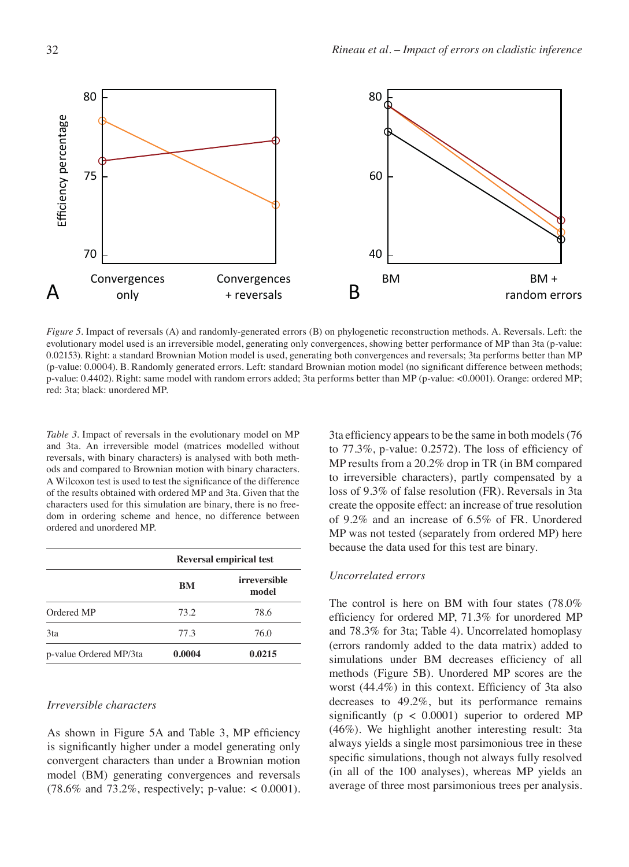

*Figure 5.* Impact of reversals (A) and randomly-generated errors (B) on phylogenetic reconstruction methods. A. Reversals. Left: the evolutionary model used is an irreversible model, generating only convergences, showing better performance of MP than 3ta (p-value: 0.02153). Right: a standard Brownian Motion model is used, generating both convergences and reversals; 3ta performs better than MP (p-value: 0.0004). B. Randomly generated errors. Left: standard Brownian motion model (no significant difference between methods; p-value: 0.4402). Right: same model with random errors added; 3ta performs better than MP (p-value: <0.0001). Orange: ordered MP; red: 3ta; black: unordered MP.

*Table 3.* Impact of reversals in the evolutionary model on MP and 3ta. An irreversible model (matrices modelled without reversals, with binary characters) is analysed with both methods and compared to Brownian motion with binary characters. A Wilcoxon test is used to test the significance of the difference of the results obtained with ordered MP and 3ta. Given that the characters used for this simulation are binary, there is no freedom in ordering scheme and hence, no difference between ordered and unordered MP.

|                        | <b>Reversal empirical test</b> |                              |  |  |
|------------------------|--------------------------------|------------------------------|--|--|
|                        | BM                             | <i>irreversible</i><br>model |  |  |
| Ordered MP             | 73.2                           | 78.6                         |  |  |
| 3ta                    | 77.3                           | 76.0                         |  |  |
| p-value Ordered MP/3ta | 0.0004                         | 0.0215                       |  |  |

#### *Irreversible characters*

As shown in Figure 5A and Table 3, MP efficiency is significantly higher under a model generating only convergent characters than under a Brownian motion model (BM) generating convergences and reversals  $(78.6\% \text{ and } 73.2\%, \text{ respectively}; \text{ p-value}: < 0.0001).$  3ta efficiency appears to be the same in both models (76 to 77.3%, p-value: 0.2572). The loss of efficiency of MP results from a 20.2% drop in TR (in BM compared to irreversible characters), partly compensated by a loss of 9.3% of false resolution (FR). Reversals in 3ta create the opposite effect: an increase of true resolution of 9.2% and an increase of 6.5% of FR. Unordered MP was not tested (separately from ordered MP) here because the data used for this test are binary.

#### *Uncorrelated errors*

The control is here on BM with four states (78.0% efficiency for ordered MP, 71.3% for unordered MP and 78.3% for 3ta; Table 4). Uncorrelated homoplasy (errors randomly added to the data matrix) added to simulations under BM decreases efficiency of all methods (Figure 5B). Unordered MP scores are the worst (44.4%) in this context. Efficiency of 3ta also decreases to 49.2%, but its performance remains significantly ( $p < 0.0001$ ) superior to ordered MP (46%). We highlight another interesting result: 3ta always yields a single most parsimonious tree in these specific simulations, though not always fully resolved (in all of the 100 analyses), whereas MP yields an average of three most parsimonious trees per analysis.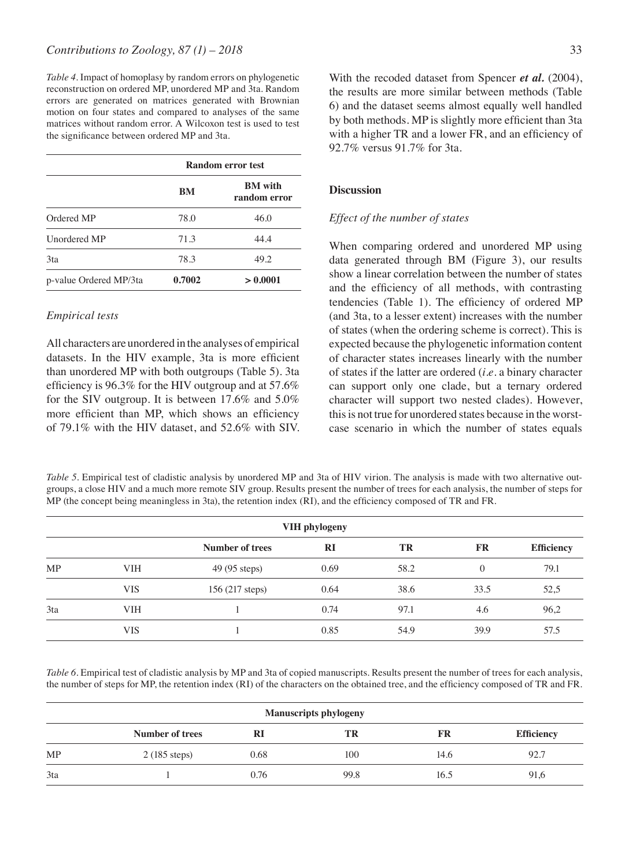*Table 4.* Impact of homoplasy by random errors on phylogenetic reconstruction on ordered MP, unordered MP and 3ta. Random errors are generated on matrices generated with Brownian motion on four states and compared to analyses of the same matrices without random error. A Wilcoxon test is used to test the significance between ordered MP and 3ta.

|                        | Random error test |                                |  |  |
|------------------------|-------------------|--------------------------------|--|--|
|                        | <b>BM</b>         | <b>BM</b> with<br>random error |  |  |
| Ordered MP             | 78.0              | 46.0                           |  |  |
| Unordered MP           | 71.3              | 44.4                           |  |  |
| 3ta                    | 78.3              | 49.2                           |  |  |
| p-value Ordered MP/3ta | 0.7002            | > 0.0001                       |  |  |

#### *Empirical tests*

All characters are unordered in the analyses of empirical datasets. In the HIV example, 3ta is more efficient than unordered MP with both outgroups (Table 5). 3ta efficiency is 96.3% for the HIV outgroup and at 57.6% for the SIV outgroup. It is between 17.6% and 5.0% more efficient than MP, which shows an efficiency of 79.1% with the HIV dataset, and 52.6% with SIV. With the recoded dataset from Spencer *et al.* (2004), the results are more similar between methods (Table 6) and the dataset seems almost equally well handled by both methods. MP is slightly more efficient than 3ta with a higher TR and a lower FR, and an efficiency of 92.7% versus 91.7% for 3ta.

#### **Discussion**

#### *Effect of the number of states*

When comparing ordered and unordered MP using data generated through BM (Figure 3), our results show a linear correlation between the number of states and the efficiency of all methods, with contrasting tendencies (Table 1). The efficiency of ordered MP (and 3ta, to a lesser extent) increases with the number of states (when the ordering scheme is correct). This is expected because the phylogenetic information content of character states increases linearly with the number of states if the latter are ordered (*i.e.* a binary character can support only one clade, but a ternary ordered character will support two nested clades). However, this is not true for unordered states because in the worstcase scenario in which the number of states equals

*Table 5.* Empirical test of cladistic analysis by unordered MP and 3ta of HIV virion. The analysis is made with two alternative outgroups, a close HIV and a much more remote SIV group. Results present the number of trees for each analysis, the number of steps for MP (the concept being meaningless in 3ta), the retention index (RI), and the efficiency composed of TR and FR.

|           | VIH phylogeny |                 |      |      |           |                   |  |
|-----------|---------------|-----------------|------|------|-----------|-------------------|--|
|           |               | Number of trees | RI   | TR   | <b>FR</b> | <b>Efficiency</b> |  |
| <b>MP</b> | VIH           | 49 (95 steps)   | 0.69 | 58.2 | $\Omega$  | 79.1              |  |
|           | VIS           | 156 (217 steps) | 0.64 | 38.6 | 33.5      | 52,5              |  |
| 3ta       | VIH           |                 | 0.74 | 97.1 | 4.6       | 96,2              |  |
|           | VIS           |                 | 0.85 | 54.9 | 39.9      | 57.5              |  |

*Table 6.* Empirical test of cladistic analysis by MP and 3ta of copied manuscripts. Results present the number of trees for each analysis, the number of steps for MP, the retention index (RI) of the characters on the obtained tree, and the efficiency composed of TR and FR.

|           | <b>Manuscripts phylogeny</b> |      |      |      |            |  |  |  |
|-----------|------------------------------|------|------|------|------------|--|--|--|
|           | Number of trees              | RI   | TR   | FR   | Efficiency |  |  |  |
| <b>MP</b> | $2(185 \text{ steps})$       | 0.68 | 100  | 14.6 | 92.7       |  |  |  |
| 3ta       |                              | 0.76 | 99.8 | 16.5 | 91,6       |  |  |  |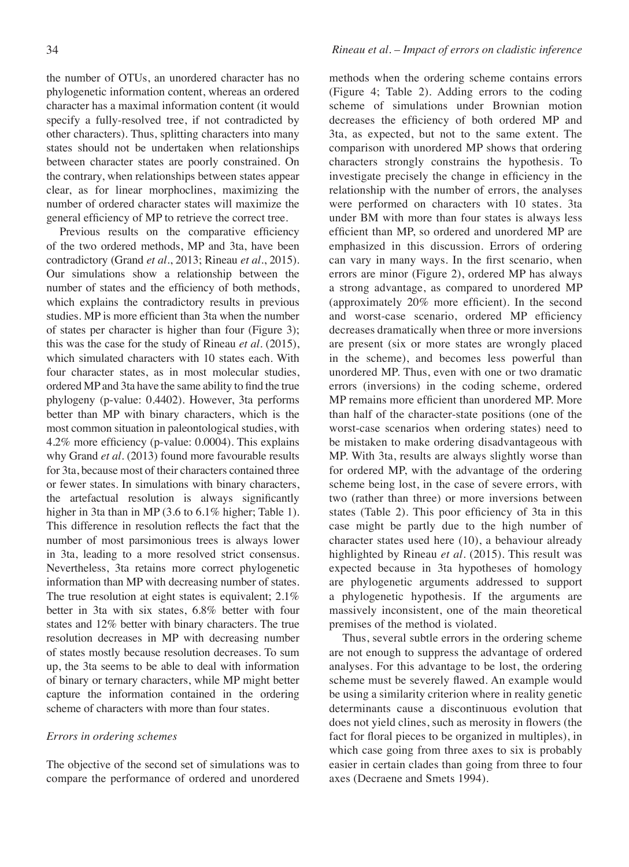the number of OTUs, an unordered character has no phylogenetic information content, whereas an ordered character has a maximal information content (it would specify a fully-resolved tree, if not contradicted by other characters). Thus, splitting characters into many states should not be undertaken when relationships between character states are poorly constrained. On the contrary, when relationships between states appear

clear, as for linear morphoclines, maximizing the number of ordered character states will maximize the

general efficiency of MP to retrieve the correct tree. Previous results on the comparative efficiency of the two ordered methods, MP and 3ta, have been contradictory (Grand *et al.*, 2013; Rineau *et al.*, 2015). Our simulations show a relationship between the number of states and the efficiency of both methods, which explains the contradictory results in previous studies. MP is more efficient than 3ta when the number of states per character is higher than four (Figure 3); this was the case for the study of Rineau *et al.* (2015), which simulated characters with 10 states each. With four character states, as in most molecular studies, ordered MP and 3ta have the same ability to find the true phylogeny (p-value: 0.4402). However, 3ta performs better than MP with binary characters, which is the most common situation in paleontological studies, with 4.2% more efficiency (p-value: 0.0004). This explains why Grand *et al.* (2013) found more favourable results for 3ta, because most of their characters contained three or fewer states. In simulations with binary characters, the artefactual resolution is always significantly higher in 3ta than in MP (3.6 to 6.1% higher; Table 1). This difference in resolution reflects the fact that the number of most parsimonious trees is always lower in 3ta, leading to a more resolved strict consensus. Nevertheless, 3ta retains more correct phylogenetic information than MP with decreasing number of states. The true resolution at eight states is equivalent; 2.1% better in 3ta with six states, 6.8% better with four states and 12% better with binary characters. The true resolution decreases in MP with decreasing number of states mostly because resolution decreases. To sum up, the 3ta seems to be able to deal with information of binary or ternary characters, while MP might better capture the information contained in the ordering scheme of characters with more than four states.

#### *Errors in ordering schemes*

The objective of the second set of simulations was to compare the performance of ordered and unordered methods when the ordering scheme contains errors (Figure 4; Table 2). Adding errors to the coding scheme of simulations under Brownian motion decreases the efficiency of both ordered MP and 3ta, as expected, but not to the same extent. The comparison with unordered MP shows that ordering characters strongly constrains the hypothesis. To investigate precisely the change in efficiency in the relationship with the number of errors, the analyses were performed on characters with 10 states. 3ta under BM with more than four states is always less efficient than MP, so ordered and unordered MP are emphasized in this discussion. Errors of ordering can vary in many ways. In the first scenario, when errors are minor (Figure 2), ordered MP has always a strong advantage, as compared to unordered MP (approximately 20% more efficient). In the second and worst-case scenario, ordered MP efficiency decreases dramatically when three or more inversions are present (six or more states are wrongly placed in the scheme), and becomes less powerful than unordered MP. Thus, even with one or two dramatic errors (inversions) in the coding scheme, ordered MP remains more efficient than unordered MP. More than half of the character-state positions (one of the worst-case scenarios when ordering states) need to be mistaken to make ordering disadvantageous with MP. With 3ta, results are always slightly worse than for ordered MP, with the advantage of the ordering scheme being lost, in the case of severe errors, with two (rather than three) or more inversions between states (Table 2). This poor efficiency of 3ta in this case might be partly due to the high number of character states used here (10), a behaviour already highlighted by Rineau *et al.* (2015). This result was expected because in 3ta hypotheses of homology are phylogenetic arguments addressed to support a phylogenetic hypothesis. If the arguments are massively inconsistent, one of the main theoretical premises of the method is violated.

Thus, several subtle errors in the ordering scheme are not enough to suppress the advantage of ordered analyses. For this advantage to be lost, the ordering scheme must be severely flawed. An example would be using a similarity criterion where in reality genetic determinants cause a discontinuous evolution that does not yield clines, such as merosity in flowers (the fact for floral pieces to be organized in multiples), in which case going from three axes to six is probably easier in certain clades than going from three to four axes (Decraene and Smets 1994).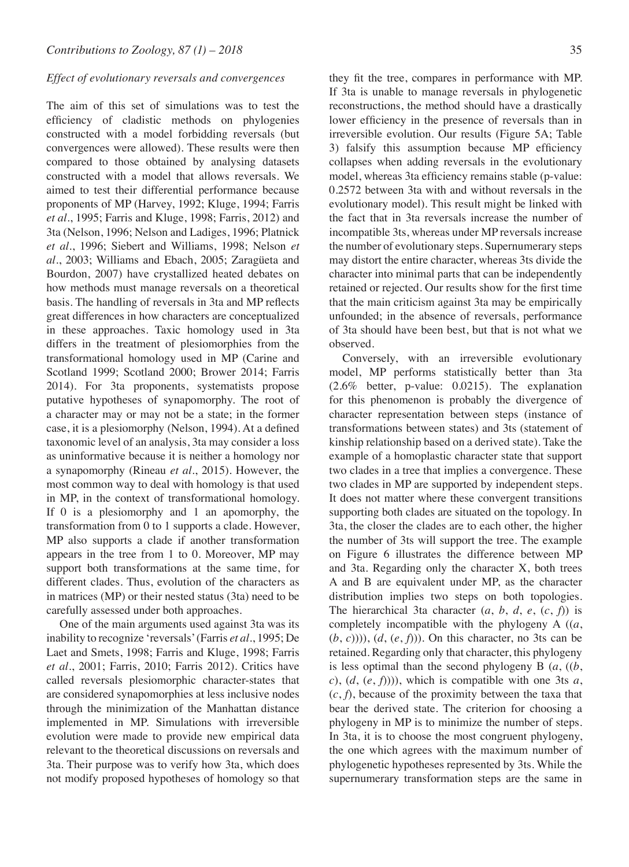#### *Effect of evolutionary reversals and convergences*

The aim of this set of simulations was to test the efficiency of cladistic methods on phylogenies constructed with a model forbidding reversals (but convergences were allowed). These results were then compared to those obtained by analysing datasets constructed with a model that allows reversals. We aimed to test their differential performance because proponents of MP (Harvey, 1992; Kluge, 1994; Farris *et al.*, 1995; Farris and Kluge, 1998; Farris, 2012) and 3ta (Nelson, 1996; Nelson and Ladiges, 1996; Platnick *et al.*, 1996; Siebert and Williams, 1998; Nelson *et al.*, 2003; Williams and Ebach, 2005; Zaragüeta and Bourdon, 2007) have crystallized heated debates on how methods must manage reversals on a theoretical basis. The handling of reversals in 3ta and MP reflects great differences in how characters are conceptualized in these approaches. Taxic homology used in 3ta differs in the treatment of plesiomorphies from the transformational homology used in MP (Carine and Scotland 1999; Scotland 2000; Brower 2014; Farris 2014). For 3ta proponents, systematists propose putative hypotheses of synapomorphy. The root of a character may or may not be a state; in the former case, it is a plesiomorphy (Nelson, 1994). At a defined taxonomic level of an analysis, 3ta may consider a loss as uninformative because it is neither a homology nor a synapomorphy (Rineau *et al.*, 2015). However, the most common way to deal with homology is that used in MP, in the context of transformational homology. If 0 is a plesiomorphy and 1 an apomorphy, the transformation from 0 to 1 supports a clade. However, MP also supports a clade if another transformation appears in the tree from 1 to 0. Moreover, MP may support both transformations at the same time, for different clades. Thus, evolution of the characters as in matrices (MP) or their nested status (3ta) need to be carefully assessed under both approaches.

One of the main arguments used against 3ta was its inability to recognize 'reversals' (Farris *et al.*, 1995; De Laet and Smets, 1998; Farris and Kluge, 1998; Farris *et al.*, 2001; Farris, 2010; Farris 2012). Critics have called reversals plesiomorphic character-states that are considered synapomorphies at less inclusive nodes through the minimization of the Manhattan distance implemented in MP. Simulations with irreversible evolution were made to provide new empirical data relevant to the theoretical discussions on reversals and 3ta. Their purpose was to verify how 3ta, which does not modify proposed hypotheses of homology so that they fit the tree, compares in performance with MP. If 3ta is unable to manage reversals in phylogenetic reconstructions, the method should have a drastically lower efficiency in the presence of reversals than in irreversible evolution. Our results (Figure 5A; Table 3) falsify this assumption because MP efficiency collapses when adding reversals in the evolutionary model, whereas 3ta efficiency remains stable (p-value: 0.2572 between 3ta with and without reversals in the evolutionary model). This result might be linked with the fact that in 3ta reversals increase the number of incompatible 3ts, whereas under MP reversals increase the number of evolutionary steps. Supernumerary steps may distort the entire character, whereas 3ts divide the character into minimal parts that can be independently retained or rejected. Our results show for the first time that the main criticism against 3ta may be empirically unfounded; in the absence of reversals, performance of 3ta should have been best, but that is not what we observed.

Conversely, with an irreversible evolutionary model, MP performs statistically better than 3ta (2.6% better, p-value: 0.0215). The explanation for this phenomenon is probably the divergence of character representation between steps (instance of transformations between states) and 3ts (statement of kinship relationship based on a derived state). Take the example of a homoplastic character state that support two clades in a tree that implies a convergence. These two clades in MP are supported by independent steps. It does not matter where these convergent transitions supporting both clades are situated on the topology. In 3ta, the closer the clades are to each other, the higher the number of 3ts will support the tree. The example on Figure 6 illustrates the difference between MP and 3ta. Regarding only the character X, both trees A and B are equivalent under MP, as the character distribution implies two steps on both topologies. The hierarchical 3ta character  $(a, b, d, e, (c, f))$  is completely incompatible with the phylogeny A ((*a*, (*b*, *c*)))), (*d*, (*e*, *f*))). On this character, no 3ts can be retained. Regarding only that character, this phylogeny is less optimal than the second phylogeny B (*a*, ((*b*,  $c$ ),  $(d, (e, f)))$ , which is compatible with one 3ts *a*,  $(c, f)$ , because of the proximity between the taxa that bear the derived state. The criterion for choosing a phylogeny in MP is to minimize the number of steps. In 3ta, it is to choose the most congruent phylogeny, the one which agrees with the maximum number of phylogenetic hypotheses represented by 3ts. While the supernumerary transformation steps are the same in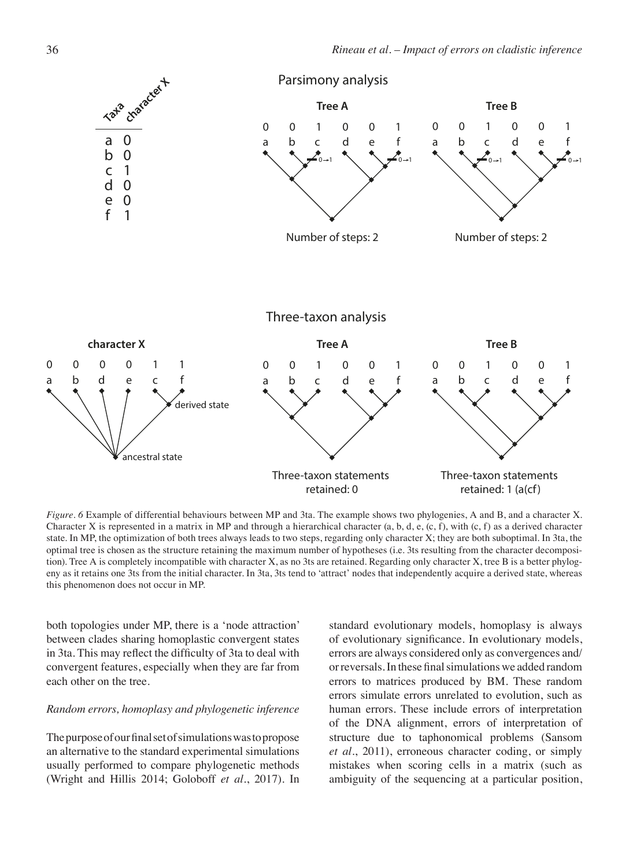

*Figure. 6* Example of differential behaviours between MP and 3ta. The example shows two phylogenies, A and B, and a character X. Character X is represented in a matrix in MP and through a hierarchical character (a, b, d, e,  $(c, f)$ , with  $(c, f)$  as a derived character state. In MP, the optimization of both trees always leads to two steps, regarding only character X; they are both suboptimal. In 3ta, the optimal tree is chosen as the structure retaining the maximum number of hypotheses (i.e. 3ts resulting from the character decomposition). Tree A is completely incompatible with character X, as no 3ts are retained. Regarding only character X, tree B is a better phylogeny as it retains one 3ts from the initial character. In 3ta, 3ts tend to 'attract' nodes that independently acquire a derived state, whereas this phenomenon does not occur in MP.

both topologies under MP, there is a 'node attraction' between clades sharing homoplastic convergent states in 3ta. This may reflect the difficulty of 3ta to deal with convergent features, especially when they are far from each other on the tree.

#### *Random errors, homoplasy and phylogenetic inference*

The purpose of our final set of simulations was to propose an alternative to the standard experimental simulations usually performed to compare phylogenetic methods (Wright and Hillis 2014; Goloboff *et al.*, 2017). In standard evolutionary models, homoplasy is always of evolutionary significance. In evolutionary models, errors are always considered only as convergences and/ or reversals. In these final simulations we added random errors to matrices produced by BM. These random errors simulate errors unrelated to evolution, such as human errors. These include errors of interpretation of the DNA alignment, errors of interpretation of structure due to taphonomical problems (Sansom *et al.*, 2011), erroneous character coding, or simply mistakes when scoring cells in a matrix (such as ambiguity of the sequencing at a particular position,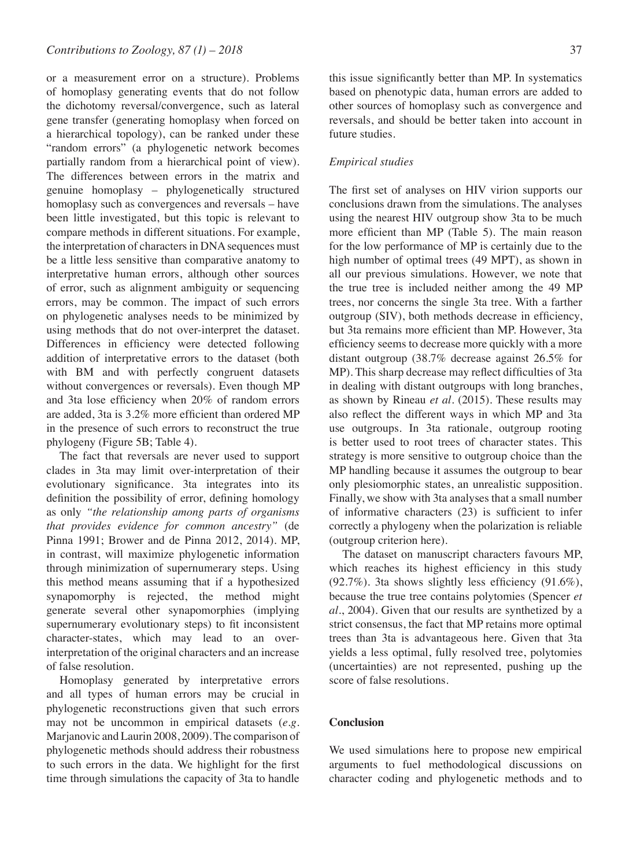or a measurement error on a structure). Problems of homoplasy generating events that do not follow the dichotomy reversal/convergence, such as lateral gene transfer (generating homoplasy when forced on a hierarchical topology), can be ranked under these "random errors" (a phylogenetic network becomes partially random from a hierarchical point of view). The differences between errors in the matrix and genuine homoplasy – phylogenetically structured homoplasy such as convergences and reversals – have been little investigated, but this topic is relevant to compare methods in different situations. For example, the interpretation of characters in DNA sequences must be a little less sensitive than comparative anatomy to interpretative human errors, although other sources of error, such as alignment ambiguity or sequencing errors, may be common. The impact of such errors on phylogenetic analyses needs to be minimized by using methods that do not over-interpret the dataset. Differences in efficiency were detected following addition of interpretative errors to the dataset (both with BM and with perfectly congruent datasets without convergences or reversals). Even though MP and 3ta lose efficiency when 20% of random errors are added, 3ta is 3.2% more efficient than ordered MP in the presence of such errors to reconstruct the true phylogeny (Figure 5B; Table 4).

The fact that reversals are never used to support clades in 3ta may limit over-interpretation of their evolutionary significance. 3ta integrates into its definition the possibility of error, defining homology as only *"the relationship among parts of organisms that provides evidence for common ancestry"* (de Pinna 1991; Brower and de Pinna 2012, 2014). MP, in contrast, will maximize phylogenetic information through minimization of supernumerary steps. Using this method means assuming that if a hypothesized synapomorphy is rejected, the method might generate several other synapomorphies (implying supernumerary evolutionary steps) to fit inconsistent character-states, which may lead to an overinterpretation of the original characters and an increase of false resolution.

Homoplasy generated by interpretative errors and all types of human errors may be crucial in phylogenetic reconstructions given that such errors may not be uncommon in empirical datasets (*e.g.* Marjanovic and Laurin 2008, 2009). The comparison of phylogenetic methods should address their robustness to such errors in the data. We highlight for the first time through simulations the capacity of 3ta to handle

this issue significantly better than MP. In systematics based on phenotypic data, human errors are added to other sources of homoplasy such as convergence and reversals, and should be better taken into account in future studies.

#### *Empirical studies*

The first set of analyses on HIV virion supports our conclusions drawn from the simulations. The analyses using the nearest HIV outgroup show 3ta to be much more efficient than MP (Table 5). The main reason for the low performance of MP is certainly due to the high number of optimal trees (49 MPT), as shown in all our previous simulations. However, we note that the true tree is included neither among the 49 MP trees, nor concerns the single 3ta tree. With a farther outgroup (SIV), both methods decrease in efficiency, but 3ta remains more efficient than MP. However, 3ta efficiency seems to decrease more quickly with a more distant outgroup (38.7% decrease against 26.5% for MP). This sharp decrease may reflect difficulties of 3ta in dealing with distant outgroups with long branches, as shown by Rineau *et al.* (2015). These results may also reflect the different ways in which MP and 3ta use outgroups. In 3ta rationale, outgroup rooting is better used to root trees of character states. This strategy is more sensitive to outgroup choice than the MP handling because it assumes the outgroup to bear only plesiomorphic states, an unrealistic supposition. Finally, we show with 3ta analyses that a small number of informative characters (23) is sufficient to infer correctly a phylogeny when the polarization is reliable (outgroup criterion here).

The dataset on manuscript characters favours MP, which reaches its highest efficiency in this study (92.7%). 3ta shows slightly less efficiency (91.6%), because the true tree contains polytomies (Spencer *et al.*, 2004). Given that our results are synthetized by a strict consensus, the fact that MP retains more optimal trees than 3ta is advantageous here. Given that 3ta yields a less optimal, fully resolved tree, polytomies (uncertainties) are not represented, pushing up the score of false resolutions.

#### **Conclusion**

We used simulations here to propose new empirical arguments to fuel methodological discussions on character coding and phylogenetic methods and to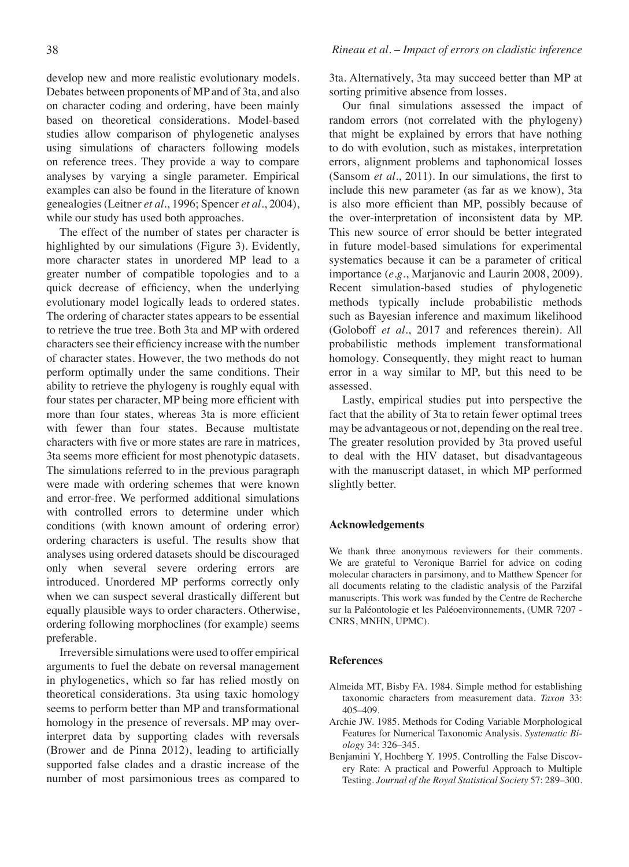develop new and more realistic evolutionary models. Debates between proponents of MP and of 3ta, and also on character coding and ordering, have been mainly based on theoretical considerations. Model-based studies allow comparison of phylogenetic analyses using simulations of characters following models on reference trees. They provide a way to compare analyses by varying a single parameter. Empirical examples can also be found in the literature of known genealogies (Leitner *et al.*, 1996; Spencer *et al.*, 2004), while our study has used both approaches.

The effect of the number of states per character is highlighted by our simulations (Figure 3). Evidently, more character states in unordered MP lead to a greater number of compatible topologies and to a quick decrease of efficiency, when the underlying evolutionary model logically leads to ordered states. The ordering of character states appears to be essential to retrieve the true tree. Both 3ta and MP with ordered characters see their efficiency increase with the number of character states. However, the two methods do not perform optimally under the same conditions. Their ability to retrieve the phylogeny is roughly equal with four states per character, MP being more efficient with more than four states, whereas 3ta is more efficient with fewer than four states. Because multistate characters with five or more states are rare in matrices, 3ta seems more efficient for most phenotypic datasets. The simulations referred to in the previous paragraph were made with ordering schemes that were known and error-free. We performed additional simulations with controlled errors to determine under which conditions (with known amount of ordering error) ordering characters is useful. The results show that analyses using ordered datasets should be discouraged only when several severe ordering errors are introduced. Unordered MP performs correctly only when we can suspect several drastically different but equally plausible ways to order characters. Otherwise, ordering following morphoclines (for example) seems preferable.

Irreversible simulations were used to offer empirical arguments to fuel the debate on reversal management in phylogenetics, which so far has relied mostly on theoretical considerations. 3ta using taxic homology seems to perform better than MP and transformational homology in the presence of reversals. MP may overinterpret data by supporting clades with reversals (Brower and de Pinna 2012), leading to artificially supported false clades and a drastic increase of the number of most parsimonious trees as compared to 3ta. Alternatively, 3ta may succeed better than MP at sorting primitive absence from losses.

Our final simulations assessed the impact of random errors (not correlated with the phylogeny) that might be explained by errors that have nothing to do with evolution, such as mistakes, interpretation errors, alignment problems and taphonomical losses (Sansom *et al.*, 2011). In our simulations, the first to include this new parameter (as far as we know), 3ta is also more efficient than MP, possibly because of the over-interpretation of inconsistent data by MP. This new source of error should be better integrated in future model-based simulations for experimental systematics because it can be a parameter of critical importance (*e.g.*, Marjanovic and Laurin 2008, 2009). Recent simulation-based studies of phylogenetic methods typically include probabilistic methods such as Bayesian inference and maximum likelihood (Goloboff *et al.*, 2017 and references therein). All probabilistic methods implement transformational homology. Consequently, they might react to human error in a way similar to MP, but this need to be assessed.

Lastly, empirical studies put into perspective the fact that the ability of 3ta to retain fewer optimal trees may be advantageous or not, depending on the real tree. The greater resolution provided by 3ta proved useful to deal with the HIV dataset, but disadvantageous with the manuscript dataset, in which MP performed slightly better.

#### **Acknowledgements**

We thank three anonymous reviewers for their comments. We are grateful to Veronique Barriel for advice on coding molecular characters in parsimony, and to Matthew Spencer for all documents relating to the cladistic analysis of the Parzifal manuscripts. This work was funded by the Centre de Recherche sur la Paléontologie et les Paléoenvironnements, (UMR 7207 - CNRS, MNHN, UPMC).

#### **References**

- Almeida MT, Bisby FA. 1984. Simple method for establishing taxonomic characters from measurement data. *Taxon* 33: 405–409.
- Archie JW. 1985. Methods for Coding Variable Morphological Features for Numerical Taxonomic Analysis. *Systematic Biology* 34: 326–345.
- Benjamini Y, Hochberg Y. 1995. Controlling the False Discovery Rate: A practical and Powerful Approach to Multiple Testing. *Journal of the Royal Statistical Society* 57: 289–300.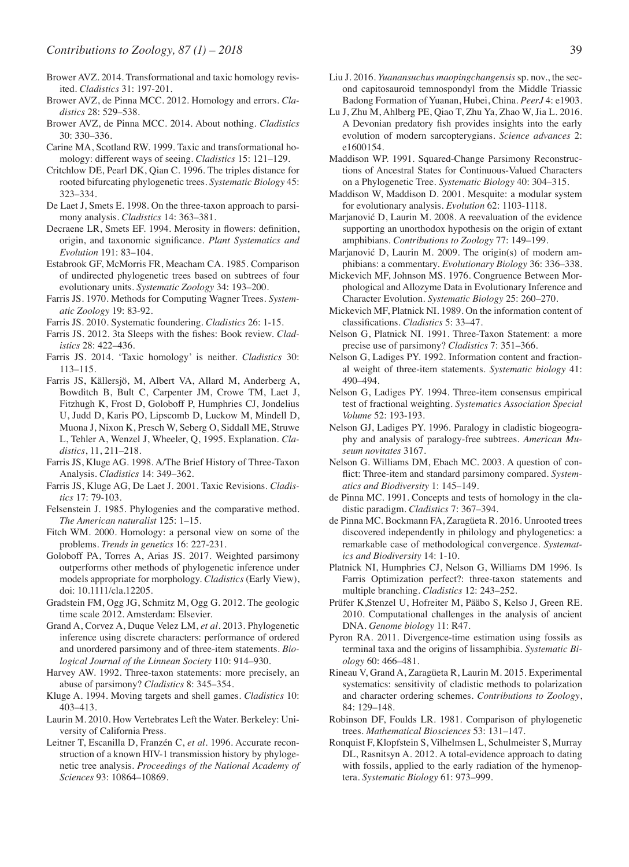- Brower AVZ. 2014. Transformational and taxic homology revisited. *Cladistics* 31: 197-201.
- Brower AVZ, de Pinna MCC. 2012. Homology and errors. *Cladistics* 28: 529–538.
- Brower AVZ, de Pinna MCC. 2014. About nothing. *Cladistics* 30: 330–336.
- Carine MA, Scotland RW. 1999. Taxic and transformational homology: different ways of seeing. *Cladistics* 15: 121–129.
- Critchlow DE, Pearl DK, Qian C. 1996. The triples distance for rooted bifurcating phylogenetic trees. *Systematic Biology* 45: 323–334.
- De Laet J, Smets E. 1998. On the three-taxon approach to parsimony analysis. *Cladistics* 14: 363–381.
- Decraene LR, Smets EF. 1994. Merosity in flowers: definition, origin, and taxonomic significance. *Plant Systematics and Evolution* 191: 83–104.
- Estabrook GF, McMorris FR, Meacham CA. 1985. Comparison of undirected phylogenetic trees based on subtrees of four evolutionary units. *Systematic Zoology* 34: 193–200.
- Farris JS. 1970. Methods for Computing Wagner Trees. *Systematic Zoology* 19: 83-92.
- Farris JS. 2010. Systematic foundering. *Cladistics* 26: 1-15.
- Farris JS. 2012. 3ta Sleeps with the fishes: Book review. *Cladistics* 28: 422–436.
- Farris JS. 2014. 'Taxic homology' is neither. *Cladistics* 30: 113–115.
- Farris JS, Källersjö, M, Albert VA, Allard M, Anderberg A, Bowditch B, Bult C, Carpenter JM, Crowe TM, Laet J, Fitzhugh K, Frost D, Goloboff P, Humphries CJ, Jondelius U, Judd D, Karis PO, Lipscomb D, Luckow M, Mindell D, Muona J, Nixon K, Presch W, Seberg O, Siddall ME, Struwe L, Tehler A, Wenzel J, Wheeler, Q, 1995. Explanation. *Cladistics*, 11, 211–218.
- Farris JS, Kluge AG. 1998. A/The Brief History of Three-Taxon Analysis. *Cladistics* 14: 349–362.
- Farris JS, Kluge AG, De Laet J. 2001. Taxic Revisions. *Cladistics* 17: 79-103.
- Felsenstein J. 1985. Phylogenies and the comparative method. *The American naturalist* 125: 1–15.
- Fitch WM. 2000. Homology: a personal view on some of the problems. *Trends in genetics* 16: 227-231.
- Goloboff PA, Torres A, Arias JS. 2017. Weighted parsimony outperforms other methods of phylogenetic inference under models appropriate for morphology. *Cladistics* (Early View), doi: 10.1111/cla.12205.
- Gradstein FM, Ogg JG, Schmitz M, Ogg G. 2012. The geologic time scale 2012. Amsterdam: Elsevier.
- Grand A, Corvez A, Duque Velez LM, *et al.* 2013. Phylogenetic inference using discrete characters: performance of ordered and unordered parsimony and of three-item statements. *Biological Journal of the Linnean Society* 110: 914–930.
- Harvey AW. 1992. Three-taxon statements: more precisely, an abuse of parsimony? *Cladistics* 8: 345–354.
- Kluge A. 1994. Moving targets and shell games. *Cladistics* 10: 403–413.
- Laurin M. 2010. How Vertebrates Left the Water. Berkeley: University of California Press.
- Leitner T, Escanilla D, Franzén C, *et al.* 1996. Accurate reconstruction of a known HIV-1 transmission history by phylogenetic tree analysis. *Proceedings of the National Academy of Sciences* 93: 10864–10869.
- Liu J. 2016. *Yuanansuchus maopingchangensis* sp. nov., the second capitosauroid temnospondyl from the Middle Triassic Badong Formation of Yuanan, Hubei, China. *PeerJ* 4: e1903.
- Lu J, Zhu M, Ahlberg PE, Qiao T, Zhu Ya, Zhao W, Jia L. 2016. A Devonian predatory fish provides insights into the early evolution of modern sarcopterygians. *Science advances* 2: e1600154.
- Maddison WP. 1991. Squared-Change Parsimony Reconstructions of Ancestral States for Continuous-Valued Characters on a Phylogenetic Tree. *Systematic Biology* 40: 304–315.
- Maddison W, Maddison D. 2001. Mesquite: a modular system for evolutionary analysis. *Evolution* 62: 1103-1118.
- Marjanović D, Laurin M. 2008. A reevaluation of the evidence supporting an unorthodox hypothesis on the origin of extant amphibians. *Contributions to Zoology* 77: 149–199.
- Marjanović D, Laurin M. 2009. The origin(s) of modern amphibians: a commentary. *Evolutionary Biology* 36: 336–338.
- Mickevich MF, Johnson MS. 1976. Congruence Between Morphological and Allozyme Data in Evolutionary Inference and Character Evolution. *Systematic Biology* 25: 260–270.
- Mickevich MF, Platnick NI. 1989. On the information content of classifications. *Cladistics* 5: 33–47.
- Nelson G, Platnick NI. 1991. Three-Taxon Statement: a more precise use of parsimony? *Cladistics* 7: 351–366.
- Nelson G, Ladiges PY. 1992. Information content and fractional weight of three-item statements. *Systematic biology* 41: 490–494.
- Nelson G, Ladiges PY. 1994. Three-item consensus empirical test of fractional weighting. *Systematics Association Special Volume* 52: 193-193.
- Nelson GJ, Ladiges PY. 1996. Paralogy in cladistic biogeography and analysis of paralogy-free subtrees. *American Museum novitates* 3167.
- Nelson G. Williams DM, Ebach MC. 2003. A question of conflict: Three-item and standard parsimony compared. *Systematics and Biodiversity* 1: 145–149.
- de Pinna MC. 1991. Concepts and tests of homology in the cladistic paradigm. *Cladistics* 7: 367–394.
- de Pinna MC. Bockmann FA, Zaragüeta R. 2016. Unrooted trees discovered independently in philology and phylogenetics: a remarkable case of methodological convergence. *Systematics and Biodiversity* 14: 1-10.
- Platnick NI, Humphries CJ, Nelson G, Williams DM 1996. Is Farris Optimization perfect?: three-taxon statements and multiple branching. *Cladistics* 12: 243–252.
- Prüfer K,Stenzel U, Hofreiter M, Pääbo S, Kelso J, Green RE. 2010. Computational challenges in the analysis of ancient DNA. *Genome biology* 11: R47.
- Pyron RA. 2011. Divergence-time estimation using fossils as terminal taxa and the origins of lissamphibia. *Systematic Biology* 60: 466–481.
- Rineau V, Grand A, Zaragüeta R, Laurin M. 2015. Experimental systematics: sensitivity of cladistic methods to polarization and character ordering schemes. *Contributions to Zoology*, 84: 129–148.
- Robinson DF, Foulds LR. 1981. Comparison of phylogenetic trees. *Mathematical Biosciences* 53: 131–147.
- Ronquist F, Klopfstein S, Vilhelmsen L, Schulmeister S, Murray DL, Rasnitsyn A. 2012. A total-evidence approach to dating with fossils, applied to the early radiation of the hymenoptera. *Systematic Biology* 61: 973–999.